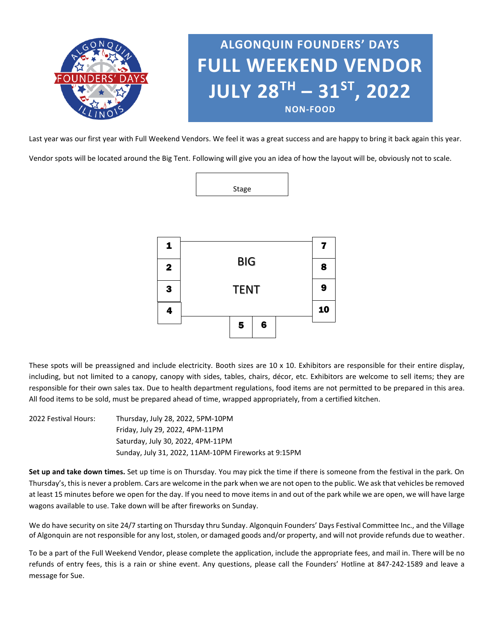

Last year was our first year with Full Weekend Vendors. We feel it was a great success and are happy to bring it back again this year.

Vendor spots will be located around the Big Tent. Following will give you an idea of how the layout will be, obviously not to scale.



| 1                   |             |   |   |  | 7 |
|---------------------|-------------|---|---|--|---|
| $\mathbf 2$         | <b>BIG</b>  |   |   |  |   |
| 3                   | <b>TENT</b> |   |   |  |   |
| $\ddot{\mathbf{4}}$ |             |   |   |  |   |
|                     |             | 5 | 6 |  |   |

These spots will be preassigned and include electricity. Booth sizes are  $10 \times 10$ . Exhibitors are responsible for their entire display, including, but not limited to a canopy, canopy with sides, tables, chairs, décor, etc. Exhibitors are welcome to sell items; they are responsible for their own sales tax. Due to health department regulations, food items are not permitted to be prepared in this area. All food items to be sold, must be prepared ahead of time, wrapped appropriately, from a certified kitchen.

2022 Festival Hours: Thursday, July 28, 2022, 5PM-10PM Friday, July 29, 2022, 4PM-11PM Saturday, July 30, 2022, 4PM-11PM Sunday, July 31, 2022, 11AM-10PM Fireworks at 9:15PM

**Set up and take down times.** Set up time is on Thursday. You may pick the time if there is someone from the festival in the park. On Thursday's, this is never a problem. Cars are welcome in the park when we are not open to the public. We ask that vehicles be removed at least 15 minutes before we open for the day. If you need to move items in and out of the park while we are open, we will have large wagons available to use. Take down will be after fireworks on Sunday.

We do have security on site 24/7 starting on Thursday thru Sunday. Algonquin Founders' Days Festival Committee Inc., and the Village of Algonquin are not responsible for any lost, stolen, or damaged goods and/or property, and will not provide refunds due to weather.

To be a part of the Full Weekend Vendor, please complete the application, include the appropriate fees, and mail in. There will be no refunds of entry fees, this is a rain or shine event. Any questions, please call the Founders' Hotline at 847-242-1589 and leave a message for Sue.